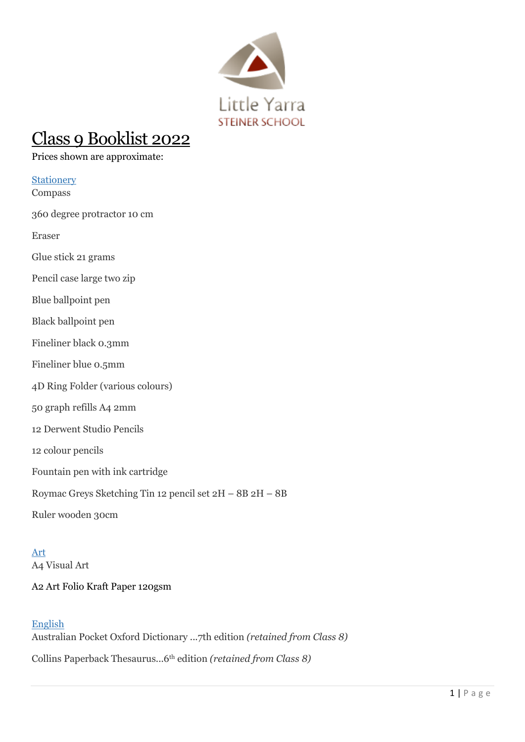

# Class 9 Booklist 2022

Prices shown are approximate:

## **Stationery**

Compass

360 degree protractor 10 cm

Eraser

Glue stick 21 grams

Pencil case large two zip

Blue ballpoint pen

- Black ballpoint pen
- Fineliner black 0.3mm
- Fineliner blue 0.5mm
- 4D Ring Folder (various colours)
- 50 graph refills A4 2mm
- 12 Derwent Studio Pencils
- 12 colour pencils
- Fountain pen with ink cartridge
- Roymac Greys Sketching Tin 12 pencil set 2H 8B 2H 8B
- Ruler wooden 30cm

Art A4 Visual Art

## A2 Art Folio Kraft Paper 120gsm

## English

Australian Pocket Oxford Dictionary ...7th edition *(retained from Class 8)* Collins Paperback Thesaurus...6th edition *(retained from Class 8)*